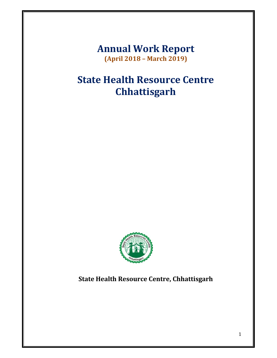**Annual Work Report (April 2018 – March 2019)**

# **State Health Resource Centre Chhattisgarh**



# **State Health Resource Centre, Chhattisgarh**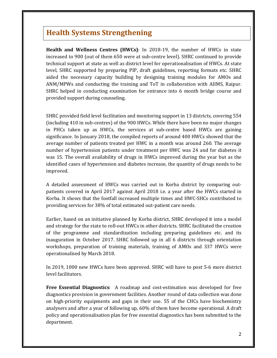# **Health Systems Strengthening**

**Health and Wellness Centres (HWCs):** In 2018-19, the number of HWCs in state increased to 900 (out of them 650 were at sub-centre level). SHRC continued to provide technical support at state as well as district level for operationalisation of HWCs. At state level, SHRC supported by preparing PIP, draft guidelines, reporting formats etc. SHRC aided the necessary capacity building by designing training modules for AMOs and ANM/MPWs and conducting the training and ToT in collaboration with AIIMS, Raipur. SHRC helped in conducting examination for entrance into 6 month bridge course and provided support during counseling.

SHRC provided field level facilitation and monitoring support in 13 districts, covering 554 (including 410 in sub-centres) of the 900 HWCs. While there have been no major changes in PHCs taken up as HWCs, the services at sub-centre based HWCs are gaining significance. In January 2018, the compiled reports of around 400 HWCs showed that the average number of patients treated per HWC in a month was around 260. The average number of hypertension patients under treatment per HWC was 24 and for diabetes it was 15. The overall availability of drugs in HWCs improved during the year but as the identified cases of hypertension and diabetes increase, the quantity of drugs needs to be improved. 

A detailed assessment of HWCs was carried out in Korba district by comparing outpatients covered in April 2017 against April 2018 i.e. a year after the HWCs started in Korba. It shows that the footfall increased multiple times and HWC-SHCs contributed to providing services for 38% of total estimated out-patient care needs.

Earlier, based on an initiative planned by Korba district, SHRC developed it into a model and strategy for the state to roll-out HWCs in other districts. SHRC facilitated the creation of the programme and standardization including preparing guidelines etc. and its inauguration in October 2017. SHRC followed up in all 6 districts through orientation workshops, preparation of training materials, training of AMOs and 337 HWCs were operationalised by March 2018.

In 2019, 1000 new HWCs have been approved. SHRC will have to post 5-6 more district level facilitators.

**Free Essential Diagnostics**: A roadmap and cost-estimation was developed for free diagnostics provision in government facilities. Another round of data collection was done on high-priority equipments and gaps in their use. 55 of the CHCs have biochemistry analysers and after a year of following up, 60% of them have become operational. A draft policy and operationalisation plan for free essential diagnostics has been submitted to the department.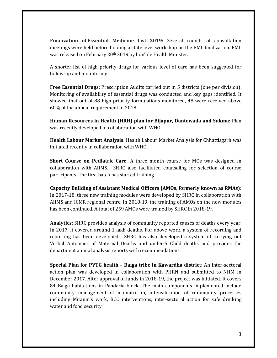**Finalization of Essential Medicine List 2019:** Several rounds of consultation meetings were held before holding a state level workshop on the EML finalization. EML was released on February 20<sup>th</sup> 2019 by hon'ble Health Minister.

A shorter list of high priority drugs for various level of care has been suggested for follow-up and moinitoring.

**Free Essential Drugs:** Prescription Audits carried out in 5 districts (one per division). Monitoring of availability of essential drugs was conducted and key gaps identified. It showed that out of 88 high priority formulations monitored, 48 were received above 60% of the annual requirement in 2018.

**Human Resources in Health (HRH) plan for Bijapur, Dantewada and Sukma**: Plan was recently developed in collaboration with WHO.

**Health Labour Market Analysis:** Health Labour Market Analysis for Chhattisgarh was initiated recently in collaboration with WHO.

**Short Course on Pediatric Care:** A three month course for MOs was designed in collaboration with AIIMS. SHRC also facilitated counseling for selection of course participants. The first batch has started training.

**Capacity Building of Assistant Medical Officers (AMOs, formerly known as RMAs):** In 2017-18, three new training modules were developed by SHRC in collaboration with AIIMS and ICMR regional centre. In 2018-19, the training of AMOs on the new modules has been continued. A total of 259 AMOs were trained by SHRC in 2018-19.

**Analytics:** SHRC provides analysis of community reported causes of deaths every year. In 2017, it covered around 1 lakh deaths. For above work, a system of recording and reporting has been developed. SHRC has also developed a system of carrying out Verbal Autopsies of Maternal Deaths and under-5 Child deaths and provides the department annual analysis reports with recommendations.

**Special Plan for PVTG health – Baiga tribe in Kawardha district**: An inter‐sectoral action plan was developed in collaboration with PHRN and submitted to NHM in December 2017. After approval of funds in 2018–19, the project was initiated. It covers 84 Baiga habitations in Pandaria block. The main components implemented include community management of malnutrition, intensification of community processes including Mitanin's work, BCC interventions, inter-sectoral action for safe drinking water and food security.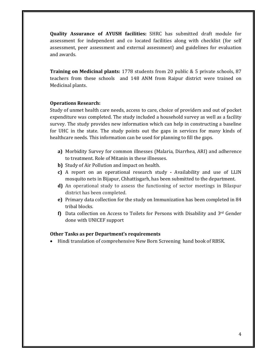**Quality Assurance of AYUSH facilities:** SHRC has submitted draft module for assessment for independent and co located facilities along with checklist (for self assessment, peer assessment and external assessment) and guidelines for evaluation and awards.

**Training on Medicinal plants:** 1778 students from 20 public & 5 private schools, 87 teachers from these schools and 148 ANM from Raipur district were trained on Medicinal plants.

#### **Operations Research:**

Study of unmet health care needs, access to care, choice of providers and out of pocket expenditure was completed. The study included a household survey as well as a facility survey. The study provides new information which can help in constructing a baseline for UHC in the state. The study points out the gaps in services for many kinds of healthcare needs. This information can be used for planning to fill the gaps.

- **a)** Morbidity Survey for common illnesses (Malaria, Diarrhea, ARI) and adherence to treatment. Role of Mitanin in these illnesses.
- **b)** Study of Air Pollution and impact on health.
- **c)** A report on an operational research study Availability and use of LLIN mosquito nets in Bijapur, Chhattisgarh, has been submitted to the department.
- **d**) An operational study to assess the functioning of sector meetings in Bilaspur district has been completed.
- **e)** Primary data collection for the study on Immunization has been completed in 84 tribal blocks.
- **f)** Data collection on Access to Toilets for Persons with Disability and  $3^{rd}$  Gender done with UNICEF support

#### **Other Tasks as per Department's requirements**

• Hindi translation of comprehensive New Born Screening hand book of RBSK.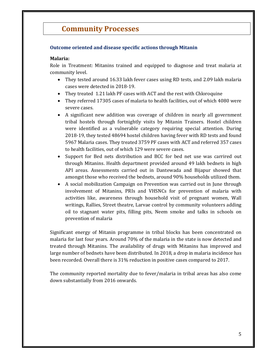# **Community Processes**

### **Outcome oriented and disease specific actions through Mitanin**

#### **Malaria:**

Role in Treatment: Mitanins trained and equipped to diagnose and treat malaria at community level.

- They tested around 16.33 lakh fever cases using RD tests, and 2.09 lakh malaria cases were detected in 2018-19.
- They treated 1.21 lakh PF cases with ACT and the rest with Chloroquine
- They referred 17305 cases of malaria to health facilities, out of which 4080 were severe cases.
- A significant new addition was coverage of children in nearly all government tribal hostels through fortnightly visits by Mitanin Trainers. Hostel children were identified as a vulnerable category requiring special attention. During 2018-19, they tested 48694 hostel children having fever with RD tests and found 5967 Malaria cases. They treated 3759 PF cases with ACT and referred 357 cases to health facilities, out of which 129 were severe cases.
- Support for Bed nets distribution and BCC for bed net use was carrired out through Mitanins. Health department provided around 49 lakh bednets in high API areas. Assessments carried out in Dantewada and Bijapur showed that amongst those who received the bednets, around 90% households utilized them.
- A social mobilization Campaign on Prevention was carried out in June through involvement of Mitanins, PRIs and VHSNCs for prevention of malaria with activities like, awareness through household visit of pregnant women, Wall writings, Rallies, Street theatre, Larvae control by community volunteers adding oil to stagnant water pits, filling pits, Neem smoke and talks in schools on prevention of malaria

Significant energy of Mitanin programme in tribal blocks has been concentrated on malaria for last four years. Around 70% of the malaria in the state is now detected and treated through Mitanins. The availability of drugs with Mitanins has improved and large number of bednets have been distributed. In 2018, a drop in malaria incidence has been recorded. Overall there is 31% reduction in positive cases compared to 2017.

The community reported mortality due to fever/malaria in tribal areas has also come down substantially from 2016 onwards.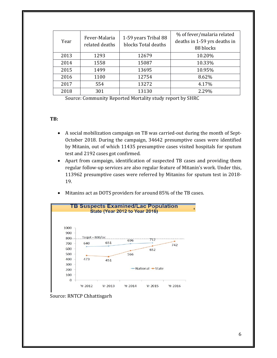| Year | Fever-Malaria<br>related deaths | 1-59 years Tribal 88<br>blocks Total deaths | % of fever/malaria related<br>deaths in 1-59 yrs deaths in<br>88 blocks |
|------|---------------------------------|---------------------------------------------|-------------------------------------------------------------------------|
| 2013 | 1293                            | 12679                                       | 10.20%                                                                  |
| 2014 | 1558                            | 15087                                       | 10.33%                                                                  |
| 2015 | 1499                            | 13695                                       | 10.95%                                                                  |
| 2016 | 1100                            | 12754                                       | 8.62%                                                                   |
| 2017 | 554                             | 13272                                       | 4.17%                                                                   |
| 2018 | 301                             | 13130                                       | 2.29%                                                                   |

Source: Community Reported Mortality study report by SHRC

#### **TB:**

- A social mobilization campaign on TB was carried-out during the month of Sept-October 2018. During the campaign, 34642 presumptive cases were identified by Mitanin, out of which 11435 presumptive cases visited hospitals for sputum test and 2192 cases got confirmed.
- Apart from campaign, identification of suspected TB cases and providing them regular follow-up services are also regular feature of Mitanin's work. Under this, 113962 presumptive cases were referred by Mitanins for sputum test in 2018-19.
- Mitanins act as DOTS providers for around 85% of the TB cases.



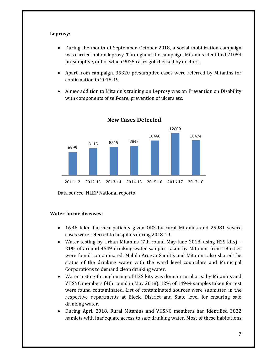#### **Leprosy:**

- During the month of September–October 2018, a social mobilization campaign was carried-out on leprosy. Throughout the campaign, Mitanins identified 21054 presumptive, out of which 9025 cases got checked by doctors.
- Apart from campaign, 35320 presumptive cases were referred by Mitanins for confirmation in 2018-19.
- A new addition to Mitanin's training on Leprosy was on Prevention on Disability with components of self-care, prevention of ulcers etc.



**New Cases Detected**

Data source: NLEP National reports

#### **Water‐borne diseases:**

- 16.48 lakh diarrhea patients given ORS by rural Mitanins and 25981 severe cases were referred to hospitals during 2018-19.
- Water testing by Urban Mitanins (7th round May-June 2018, using H2S kits) 21% of around 4549 drinking-water samples taken by Mitanins from 19 cities were found contaminated. Mahila Arogya Samitis and Mitanins also shared the status of the drinking water with the ward level councilors and Municipal Corporations to demand clean drinking water.
- Water testing through using of H2S kits was done in rural area by Mitanins and VHSNC members (4th round in May 2018). 12% of 14944 samples taken for test were found contaminated. List of contaminated sources were submitted in the respective departments at Block, District and State level for ensuring safe drinking water.
- During April 2018, Rural Mitanins and VHSNC members had identified 3822 hamlets with inadequate access to safe drinking water. Most of these habitations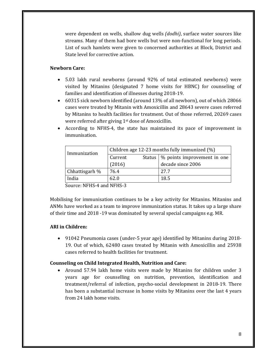were dependent on wells, shallow dug wells *(dodhi)*, surface water sources like streams. Many of them had bore wells but were non-functional for long periods. List of such hamlets were given to concerned authorities at Block, District and State level for corrective action.

### **Newborn Care:**

- 5.03 lakh rural newborns (around 92% of total estimated newborns) were visited by Mitanins (designated  $7$  home visits for HBNC) for counseling of families and identification of illnesses during 2018-19.
- 60315 sick newborn identified (around 13% of all newborn), out of which 28066 cases were treated by Mitanin with Amoxicillin and 28643 severe cases referred by Mitanins to health facilities for treatment. Out of those referred, 20269 cases were referred after giving  $1<sup>st</sup>$  dose of Amoxicillin.
- According to NFHS-4, the state has maintained its pace of improvement in immunisation.

|         | Children age 12-23 months fully immunized (%) |  |  |
|---------|-----------------------------------------------|--|--|
| Current | Status   % points improvement in one          |  |  |
| (2016)  | decade since 2006                             |  |  |
| 76.4    | 27.7                                          |  |  |
| 62.0    | 18.5                                          |  |  |
|         | .                                             |  |  |

Source: NFHS-4 and NFHS-3

Mobilising for immunisation continues to be a key activity for Mitanins. Mitanins and ANMs have worked as a team to improve immunization status. It takes up a large share of their time and 2018 -19 was dominated by several special campaigns e.g. MR.

# **ARI in Children:**

• 91042 Pneumonia cases (under-5 year age) identified by Mitanins during 2018-19. Out of which, 62480 cases treated by Mitanin with Amoxicillin and 25938 cases referred to health facilities for treatment.

# **Counseling on Child Integrated Health, Nutrition and Care:**

• Around 57.94 lakh home visits were made by Mitanins for children under 3 years age for counselling on nutrition, prevention, identification and treatment/referral of infection, psycho-social development in 2018–19. There has been a substantial increase in home visits by Mitanins over the last 4 years from 24 lakh home visits.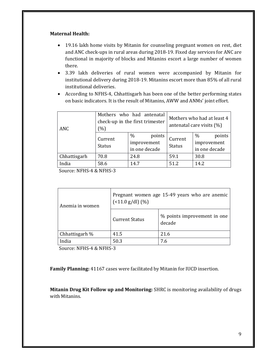#### **Maternal Health:**

- 19.16 lakh home visits by Mitanin for counseling pregnant women on rest, diet and ANC check-ups in rural areas during 2018-19. Fixed day services for ANC are functional in majority of blocks and Mitanins escort a large number of women there.
- 3.39 lakh deliveries of rural women were accompanied by Mitanin for institutional delivery during 2018-19. Mitanins escort more than 85% of all rural institutional deliveries.
- According to NFHS-4, Chhattisgarh has been one of the better performing states on basic indicators. It is the result of Mitanins, AWW and ANMs' joint effort.

| ANC          | Mothers who had antenatal<br>check-up in the first trimester<br>(% ) |                                                | Mothers who had at least 4<br>antenatal care visits $(\%)$ |                                                |
|--------------|----------------------------------------------------------------------|------------------------------------------------|------------------------------------------------------------|------------------------------------------------|
|              | Current<br><b>Status</b>                                             | $\%$<br>points<br>improvement<br>in one decade | Current<br><b>Status</b>                                   | $\%$<br>points<br>improvement<br>in one decade |
| Chhattisgarh | 70.8                                                                 | 24.8                                           | 59.1                                                       | 30.8                                           |
| India        | 58.6                                                                 | 14.7                                           | 512                                                        | 14.2                                           |

Source: NFHS-4 & NFHS-3

| Anemia in women | Pregnant women age 15-49 years who are anemic<br>$($ < 11.0 g/dl) $(\% )$ |                                       |  |
|-----------------|---------------------------------------------------------------------------|---------------------------------------|--|
|                 | <b>Current Status</b>                                                     | % points improvement in one<br>decade |  |
| Chhattisgarh %  | 41.5                                                                      | 21.6                                  |  |
| India           | 50.3                                                                      | 7.6                                   |  |
|                 |                                                                           |                                       |  |

Source: NFHS-4 & NFHS-3

**Family Planning:** 41167 cases were facilitated by Mitanin for IUCD insertion.

**Mitanin Drug Kit Follow up and Monitoring:** SHRC is monitoring availability of drugs with Mitanins.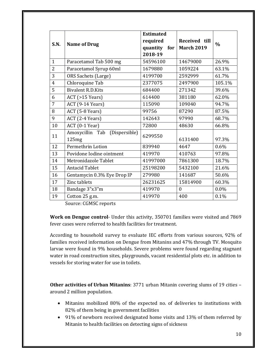|                |                                           | <b>Estimated</b> |                   |               |  |
|----------------|-------------------------------------------|------------------|-------------------|---------------|--|
| S.N.           | <b>Name of Drug</b>                       | required         | Received till     |               |  |
|                |                                           | quantity<br>for  | <b>March 2019</b> | $\frac{0}{0}$ |  |
|                |                                           | 2018-19          |                   |               |  |
| $\mathbf{1}$   | Paracetamol Tab 500 mg                    | 54596100         | 14679000          | 26.9%         |  |
| $\overline{2}$ | Paracetamol Syrup 60ml                    | 1679880          | 1059224           | 63.1%         |  |
| 3              | ORS Sachets (Large)                       | 4199700          | 2592999           | 61.7%         |  |
| $\overline{4}$ | Chloroquine Tab                           | 2377075          | 2497900           | 105.1%        |  |
| 5              | <b>Bivalent R.D.Kits</b>                  | 684400           | 271342            | 39.6%         |  |
| 6              | ACT (>15 Years)                           | 614400           | 381180            | 62.0%         |  |
| 7              | ACT (9-14 Years)                          | 115090           | 109040            | 94.7%         |  |
| 8              | ACT (5-8 Years)                           | 99756            | 87290             | 87.5%         |  |
| 9              | ACT (2-4 Years)                           | 142643           | 97990             | 68.7%         |  |
| 10             | ACT (0-1 Year)                            | 72800            | 48630             | 66.8%         |  |
| 11             | (Dispersible)<br>Amoxycillin Tab<br>125mg | 6299550          | 6131400           | 97.3%         |  |
| 12             | Permethrin Lotion                         | 839940           | 4647              | 0.6%          |  |
| 13             | Povidone Iodine ointment                  | 419970           | 410763            | 97.8%         |  |
| 14             | Metronidazole Tablet                      | 41997000         | 7861300           | 18.7%         |  |
| 15             | <b>Antacid Tablet</b>                     | 25198200         | 5432100           | 21.6%         |  |
| 16             | Gentamycin 0.3% Eye Drop IP               | 279980           | 141687            | 50.6%         |  |
| 17             | Zinc tablets                              | 26231625         | 15814900          | 60.3%         |  |
| 18             | Bandage 3"x3"m                            | 419970           | $\mathbf{0}$      | 0.0%          |  |
| 19             | Cotton 25 g.m.                            | 419970           | 400               | 0.1%          |  |

Source: CGMSC reports

**Work on Dengue control**- Under this activity, 350701 families were visited and 7869 fever cases were referred to health facilities for treatment.

According to household survey to evaluate IEC efforts from various sources, 92% of families received information on Dengue from Mitanins and 47% through TV. Mosquito larvae were found in 9% households. Severe problems were found regarding stagnant water in road construction sites, playgrounds, vacant residential plots etc. in addition to vessels for storing water for use in toilets.

**Other activities of Urban Mitanins:** 3771 urban Mitanin covering slums of 19 cities around 2 million population.

- Mitanins mobilized 80% of the expected no. of deliveries to institutions with 82% of them being in government facilities
- 91% of newborn received designated home visits and 13% of them referred by Mitanin to health facilities on detecting signs of sickness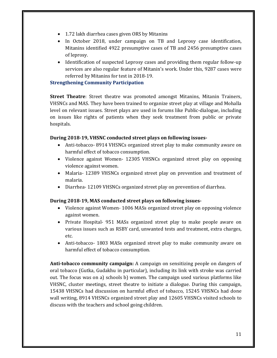- 1.72 lakh diarrhea cases given ORS by Mitanins
- In October 2018, under campaign on TB and Leprosy case identification, Mitanins identified 4922 presumptive cases of TB and 2456 presumptive cases of leprosy.
- Identification of suspected Leprosy cases and providing them regular follow-up services are also regular feature of Mitanin's work. Under this, 9287 cases were referred by Mitanins for test in 2018-19.

### **Strengthening Community Participation**

**Street Theatre**: Street theatre was promoted amongst Mitanins, Mitanin Trainers, VHSNCs and MAS. They have been trained to organize street play at village and Mohalla level on relevant issues. Street plays are used in forums like Public-dialogue, including on issues like rights of patients when they seek treatment from public or private hospitals. 

### **During 2018‐19, VHSNC conducted street plays on following issues‐**

- Anti-tobacco- 8914 VHSNCs organized street play to make community aware on harmful effect of tobacco consumption.
- Violence against Women- 12305 VHSNCs organized street play on opposing violence against women.
- Malaria- 12389 VHSNCs organized street play on prevention and treatment of malaria.
- Diarrhea 12109 VHSNCs organized street play on prevention of diarrhea.

# **During 2018‐19, MAS conducted street plays on following issues‐**

- Violence against Women-1006 MASs organized street play on opposing violence against women.
- Private Hospital 951 MASs organized street play to make people aware on various issues such as RSBY card, unwanted tests and treatment, extra charges, etc.
- Anti-tobacco- 1803 MASs organized street play to make community aware on harmful effect of tobacco consumption.

**Anti-tobacco community campaign:** A campaign on sensitizing people on dangers of oral tobacco (Gutka, Gudakhu in particular), including its link with stroke was carried out. The focus was on a) schools b) women. The campaign used various platforms like VHSNC, cluster meetings, street theatre to initiate a dialogue. During this campaign, 15438 VHSNCs had discussion on harmful effect of tobacco, 15245 VHSNCs had done wall writing, 8914 VHSNCs organized street play and 12605 VHSNCs visited schools to discuss with the teachers and school going children.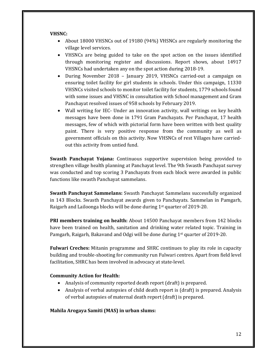#### **VHSNC:**

- About 18000 VHSNCs out of 19180 (94%) VHSNCs are regularly monitoring the village level services.
- VHSNCs are being guided to take on the spot action on the issues identified through monitoring register and discussions. Report shows, about 14917 VHSNCs had undertaken any on the spot action during 2018-19.
- During November 2018 January 2019, VHSNCs carried-out a campaign on ensuring toilet facility for girl students in schools. Under this campaign, 11330 VHSNCs visited schools to monitor toilet facility for students, 1779 schools found with some issues and VHSNC in consultation with School management and Gram Panchayat resolved issues of 958 schools by February 2019.
- Wall writing for IEC- Under an innovation activity, wall writings on key health messages have been done in 1791 Gram Panchayats. Per Panchayat, 17 health messages, few of which with pictorial form have been written with best quality paint. There is very positive response from the community as well as government officials on this activity. Now VHSNCs of rest Villages have carriedout this activity from untied fund.

**Swasth Panchayat Yojana:** Continuous supportive supervision being provided to strengthen village health planning at Panchayat level. The 9th Swasth Panchayat survey was conducted and top scoring 3 Panchayats from each block were awarded in public functions like swasth Panchayat sammelans.

**Swasth Panchayat Sammelans:** Swasth Panchayat Sammelans successfully organized in 143 Blocks. Swasth Panchayat awards given to Panchayats. Sammelan in Pamgarh, Raigarh and Lailoonga blocks will be done during  $1<sup>st</sup>$  quarter of 2019-20.

**PRI members training on health:** About 14500 Panchayat members from 142 blocks have been trained on health, sanitation and drinking water related topic. Training in Pamgarh, Raigarh, Bakavand and Odgi will be done during  $1<sup>st</sup>$  quarter of 2019-20.

**Fulwari Creches:** Mitanin programme and SHRC continues to play its role in capacity building and trouble-shooting for community run Fulwari centres. Apart from field level facilitation, SHRC has been involved in advocacy at state-level.

#### **Community Action for Health:**

- Analysis of community reported death report (draft) is prepared.
- Analysis of verbal autopsies of child death report is (draft) is prepared. Analysis of verbal autopsies of maternal death report (draft) is prepared.

#### **Mahila Arogaya Samiti (MAS) in urban slums:**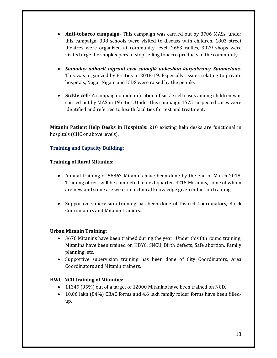- **Anti-tobacco campaign** This campaign was carried out by 3706 MASs. under this campaign, 398 schools were visited to discuss with children, 1803 street theatres were organized at community level, 2683 rallies, 3029 shops were visited urge the shopkeepers to stop selling tobacco products in the community.
- *Samuday adharit nigrani evm samajik ankeshan karyakram/ Sammelans***‐** This was organized by 8 cities in 2018–19. Especially, issues relating to private hospitals, Nagar Nigam and ICDS were raised by the people.
- **Sickle cell** A campaign on identification of sickle cell cases among children was carried out by MAS in 19 cities. Under this campaign 1575 suspected cases were identified and referred to health facilities for test and treatment.

**Mitanin Patient Help Desks in Hospitals:** 210 existing help desks are functional in hospitals (CHC or above levels).

# **Training and Capacity Building:**

# **Training of Rural Mitanins:**

- Annual training of 56863 Mitanins have been done by the end of March 2018. Training of rest will be completed in next quarter. 4215 Mitanins, some of whom are new and some are weak in technical knowledge given induction training.
- Supportive supervision training has been done of District Coordinators, Block Coordinators and Mitanin trainers.

#### **Urban Mitanin Training:**

- 3676 Mitanins have been trained during the year. Under this 8th round training, Mitanins have been trained on HBYC, SNCU, Birth defects, Safe abortion, Family planning, etc.
- Supportive supervision training has been done of City Coordinators, Area Coordinators and Mitanin trainers.

# **HWC‐ NCD training of Mitanins:**

- 11349 (95%) out of a target of 12000 Mitanins have been trained on NCD.
- 10.06 lakh (84%) CBAC forms and 4.6 lakh family folder forms have been filledup.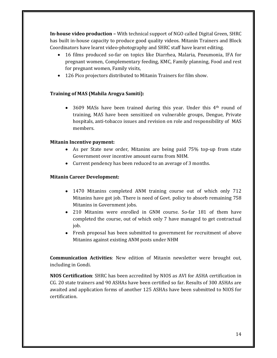**In-house video production** – With technical support of NGO called Digital Green, SHRC has built in-house capacity to produce good quality videos. Mitanin Trainers and Block Coordinators have learnt video-photography and SHRC staff have learnt editing.

- 16 films produced so-far on topics like Diarrhea, Malaria, Pneumonia, IFA for pregnant women, Complementary feeding, KMC, Family planning, Food and rest for pregnant women, Family visits,
- 126 Pico projectors distributed to Mitanin Trainers for film show.

# **Training of MAS (Mahila Arogya Samiti):**

• 3609 MASs have been trained during this year. Under this  $4<sup>th</sup>$  round of training, MAS have been sensitized on vulnerable groups, Dengue, Private hospitals, anti-tobacco issues and revision on role and responsibility of MAS members. 

#### **Mitanin Incentive payment:**

- As per State new order, Mitanins are being paid 75% top-up from state Government over incentive amount earns from NHM.
- Current pendency has been reduced to an average of 3 months.

### **Mitanin Career Development:**

- 1470 Mitanins completed ANM training course out of which only 712 Mitanins have got job. There is need of Govt. policy to absorb remaining 758 Mitanins in Government jobs.
- 210 Mitanins were enrolled in GNM course. So-far 181 of them have completed the course, out of which only 7 have managed to get contractual job.
- Fresh proposal has been submitted to government for recruitment of above Mitanins against existing ANM posts under NHM

**Communication Activities:** New edition of Mitanin newsletter were brought out, including in Gondi.

**NIOS Certification**: SHRC has been accredited by NIOS as AVI for ASHA certification in CG. 20 state trainers and 90 ASHAs have been certified so far. Results of 300 ASHAs are awaited and application forms of another 125 ASHAs have been submitted to NIOS for certification.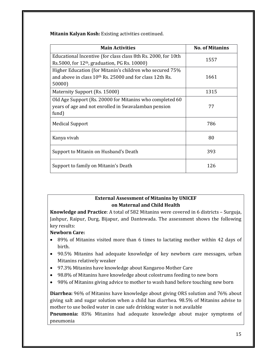**Mitanin Kalyan Kosh:** Existing activities continued.

| <b>Main Activities</b>                                                                                           | <b>No. of Mitanins</b> |
|------------------------------------------------------------------------------------------------------------------|------------------------|
| Educational Incentive (for class class 8th Rs. 2000, for 10th<br>Rs.5000, for $12th$ , graduation, PG Rs. 10000) | 1557                   |
| Higher Education (for Mitanin's children who secured 75%                                                         |                        |
| and above in class 10 <sup>th</sup> Rs. 25000 and for class 12th Rs.                                             | 1661                   |
| 50000)                                                                                                           |                        |
| Maternity Support (Rs. 15000)                                                                                    | 1315                   |
| Old Age Support (Rs. 20000 for Mitanins who completed 60                                                         |                        |
| years of age and not enrolled in Swavalamban pension                                                             | 77                     |
| fund)                                                                                                            |                        |
| <b>Medical Support</b>                                                                                           | 786                    |
| Kanya vivah                                                                                                      | 80                     |
| Support to Mitanin on Husband's Death                                                                            | 393                    |
| Support to family on Mitanin's Death                                                                             | 126                    |

# **External Assessment of Mitanins by UNICEF on Maternal and Child Health**

**Knowledge and Practice**: A total of 582 Mitanins were covered in 6 districts - Surguja, Jashpur, Raipur, Durg, Bijapur, and Dantewada. The assessment shows the following key results:

# **Newborn Care:**

- 89% of Mitanins visited more than 6 times to lactating mother within 42 days of birth.
- 90.5% Mitanins had adequate knowledge of key newborn care messages, urban Mitanins relatively weaker
- 97.3% Mitanins have knowledge about Kangaroo Mother Care
- 98.8% of Mitanins have knowledge about colostrums feeding to new born
- 98% of Mitanins giving advice to mother to wash hand before touching new born

**Diarrhea:** 96% of Mitanins have knowledge about giving ORS solution and 76% about giving salt and sugar solution when a child has diarrhea. 98.5% of Mitanins advise to mother to use boiled water in case safe drinking water is not available

**Pneumonia:** 83% Mitanins had adequate knowledge about major symptoms of pneumonia